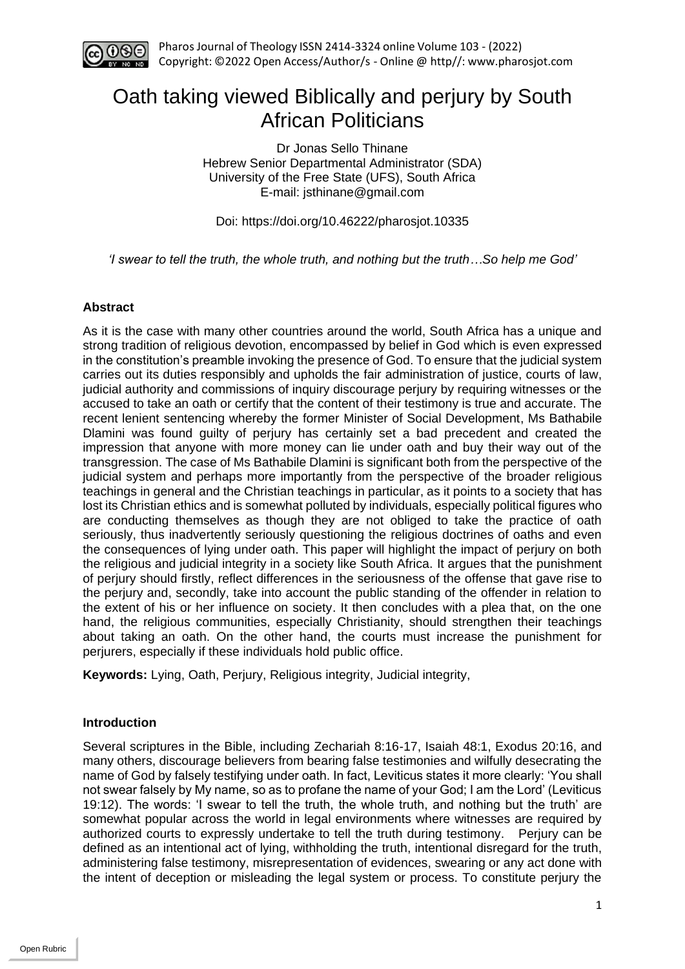

# Oath taking viewed Biblically and perjury by South African Politicians

Dr Jonas Sello Thinane Hebrew Senior Departmental Administrator (SDA) University of the Free State (UFS), South Africa E-mail: jsthinane@gmail.com

Doi: https://doi.org/10.46222/pharosjot.10335

*'I swear to tell the truth, the whole truth, and nothing but the truth…So help me God'*

#### **Abstract**

As it is the case with many other countries around the world, South Africa has a unique and strong tradition of religious devotion, encompassed by belief in God which is even expressed in the constitution's preamble invoking the presence of God. To ensure that the judicial system carries out its duties responsibly and upholds the fair administration of justice, courts of law, judicial authority and commissions of inquiry discourage perjury by requiring witnesses or the accused to take an oath or certify that the content of their testimony is true and accurate. The recent lenient sentencing whereby the former Minister of Social Development, Ms Bathabile Dlamini was found guilty of perjury has certainly set a bad precedent and created the impression that anyone with more money can lie under oath and buy their way out of the transgression. The case of Ms Bathabile Dlamini is significant both from the perspective of the judicial system and perhaps more importantly from the perspective of the broader religious teachings in general and the Christian teachings in particular, as it points to a society that has lost its Christian ethics and is somewhat polluted by individuals, especially political figures who are conducting themselves as though they are not obliged to take the practice of oath seriously, thus inadvertently seriously questioning the religious doctrines of oaths and even the consequences of lying under oath. This paper will highlight the impact of perjury on both the religious and judicial integrity in a society like South Africa. It argues that the punishment of perjury should firstly, reflect differences in the seriousness of the offense that gave rise to the perjury and, secondly, take into account the public standing of the offender in relation to the extent of his or her influence on society. It then concludes with a plea that, on the one hand, the religious communities, especially Christianity, should strengthen their teachings about taking an oath. On the other hand, the courts must increase the punishment for perjurers, especially if these individuals hold public office.

**Keywords:** Lying, Oath, Perjury, Religious integrity, Judicial integrity,

#### **Introduction**

Several scriptures in the Bible, including Zechariah 8:16-17, Isaiah 48:1, Exodus 20:16, and many others, discourage believers from bearing false testimonies and wilfully desecrating the name of God by falsely testifying under oath. In fact, Leviticus states it more clearly: 'You shall not swear falsely by My name, so as to profane the name of your God; I am the Lord' (Leviticus 19:12). The words: 'I swear to tell the truth, the whole truth, and nothing but the truth' are somewhat popular across the world in legal environments where witnesses are required by authorized courts to expressly undertake to tell the truth during testimony. Perjury can be defined as an intentional act of lying, withholding the truth, intentional disregard for the truth, administering false testimony, misrepresentation of evidences, swearing or any act done with the intent of deception or misleading the legal system or process. To constitute perjury the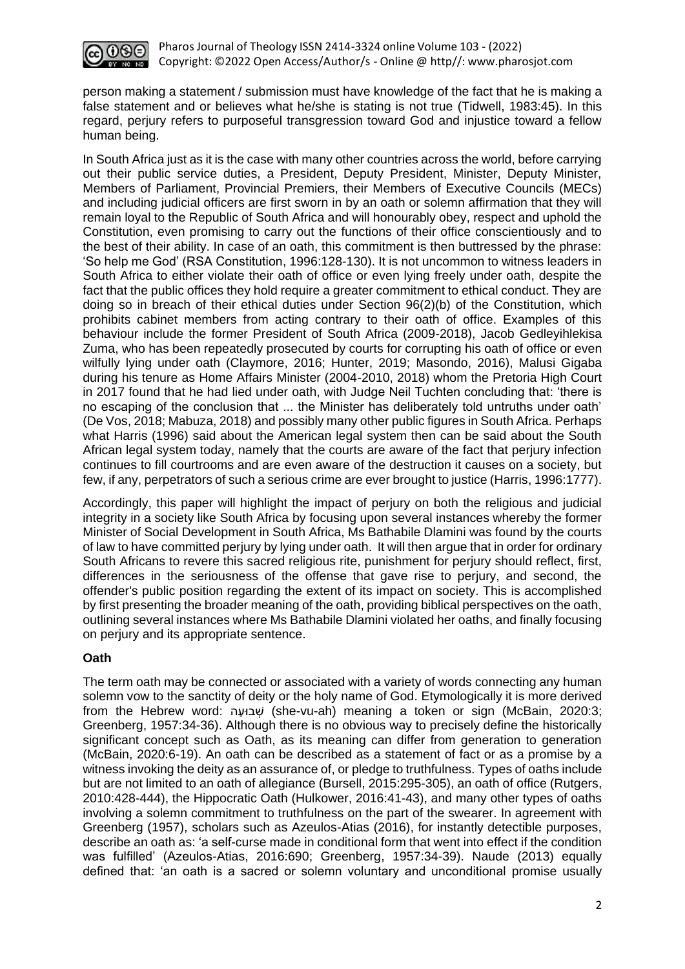

person making a statement / submission must have knowledge of the fact that he is making a false statement and or believes what he/she is stating is not true (Tidwell, 1983:45). In this regard, perjury refers to purposeful transgression toward God and injustice toward a fellow human being.

In South Africa just as it is the case with many other countries across the world, before carrying out their public service duties, a President, Deputy President, Minister, Deputy Minister, Members of Parliament, Provincial Premiers, their Members of Executive Councils (MECs) and including judicial officers are first sworn in by an oath or solemn affirmation that they will remain loyal to the Republic of South Africa and will honourably obey, respect and uphold the Constitution, even promising to carry out the functions of their office conscientiously and to the best of their ability. In case of an oath, this commitment is then buttressed by the phrase: 'So help me God' (RSA Constitution, 1996:128-130). It is not uncommon to witness leaders in South Africa to either violate their oath of office or even lying freely under oath, despite the fact that the public offices they hold require a greater commitment to ethical conduct. They are doing so in breach of their ethical duties under Section 96(2)(b) of the Constitution, which prohibits cabinet members from acting contrary to their oath of office. Examples of this behaviour include the former President of South Africa (2009-2018), Jacob Gedleyihlekisa Zuma, who has been repeatedly prosecuted by courts for corrupting his oath of office or even wilfully lying under oath (Claymore, 2016; Hunter, 2019; Masondo, 2016), Malusi Gigaba during his tenure as Home Affairs Minister (2004-2010, 2018) whom the Pretoria High Court in 2017 found that he had lied under oath, with Judge Neil Tuchten concluding that: 'there is no escaping of the conclusion that ... the Minister has deliberately told untruths under oath' (De Vos, 2018; Mabuza, 2018) and possibly many other public figures in South Africa. Perhaps what Harris (1996) said about the American legal system then can be said about the South African legal system today, namely that the courts are aware of the fact that perjury infection continues to fill courtrooms and are even aware of the destruction it causes on a society, but few, if any, perpetrators of such a serious crime are ever brought to justice (Harris, 1996:1777).

Accordingly, this paper will highlight the impact of perjury on both the religious and judicial integrity in a society like South Africa by focusing upon several instances whereby the former Minister of Social Development in South Africa, Ms Bathabile Dlamini was found by the courts of law to have committed perjury by lying under oath. It will then argue that in order for ordinary South Africans to revere this sacred religious rite, punishment for perjury should reflect, first, differences in the seriousness of the offense that gave rise to perjury, and second, the offender's public position regarding the extent of its impact on society. This is accomplished by first presenting the broader meaning of the oath, providing biblical perspectives on the oath, outlining several instances where Ms Bathabile Dlamini violated her oaths, and finally focusing on perjury and its appropriate sentence.

## **Oath**

The term oath may be connected or associated with a variety of words connecting any human solemn vow to the sanctity of deity or the holy name of God. Etymologically it is more derived from the Hebrew word: שְׁבוּעָה (she-vu-ah) meaning a token or sign (McBain, 2020:3; Greenberg, 1957:34-36). Although there is no obvious way to precisely define the historically significant concept such as Oath, as its meaning can differ from generation to generation (McBain, 2020:6-19). An oath can be described as a statement of fact or as a promise by a witness invoking the deity as an assurance of, or pledge to truthfulness. Types of oaths include but are not limited to an oath of allegiance (Bursell, 2015:295-305), an oath of office (Rutgers, 2010:428-444), the Hippocratic Oath (Hulkower, 2016:41-43), and many other types of oaths involving a solemn commitment to truthfulness on the part of the swearer. In agreement with Greenberg (1957), scholars such as Azeulos-Atias (2016), for instantly detectible purposes, describe an oath as: 'a self-curse made in conditional form that went into effect if the condition was fulfilled' (Azeulos-Atias, 2016:690; Greenberg, 1957:34-39). Naude (2013) equally defined that: 'an oath is a sacred or solemn voluntary and unconditional promise usually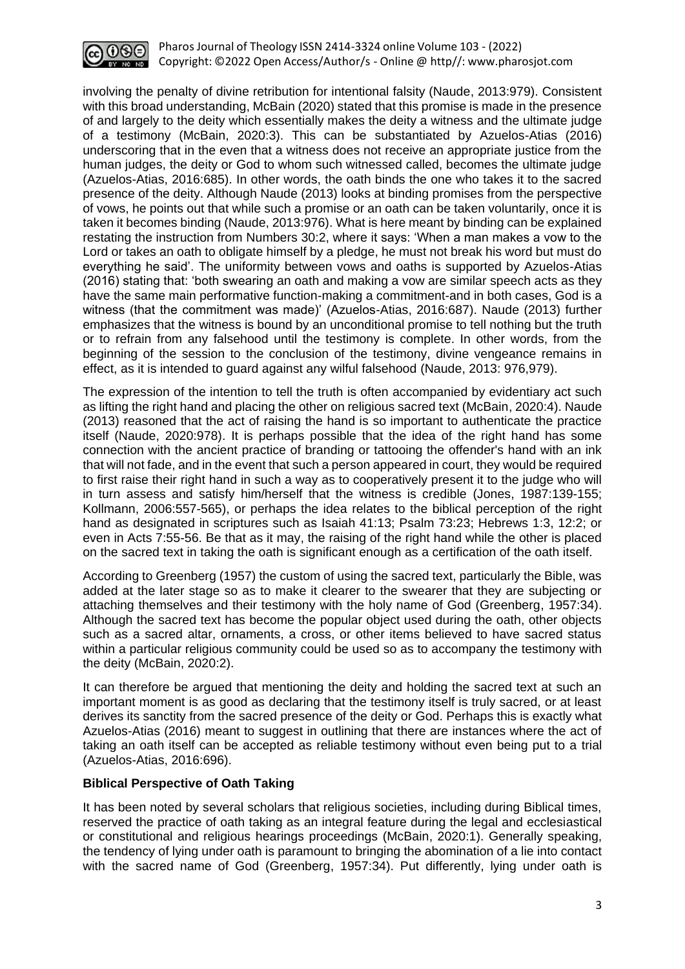

involving the penalty of divine retribution for intentional falsity (Naude, 2013:979). Consistent with this broad understanding, McBain (2020) stated that this promise is made in the presence of and largely to the deity which essentially makes the deity a witness and the ultimate judge of a testimony (McBain, 2020:3). This can be substantiated by Azuelos-Atias (2016) underscoring that in the even that a witness does not receive an appropriate justice from the human judges, the deity or God to whom such witnessed called, becomes the ultimate judge (Azuelos-Atias, 2016:685). In other words, the oath binds the one who takes it to the sacred presence of the deity. Although Naude (2013) looks at binding promises from the perspective of vows, he points out that while such a promise or an oath can be taken voluntarily, once it is taken it becomes binding (Naude, 2013:976). What is here meant by binding can be explained restating the instruction from Numbers 30:2, where it says: 'When a man makes a vow to the Lord or takes an oath to obligate himself by a pledge, he must not break his word but must do everything he said'. The uniformity between vows and oaths is supported by Azuelos-Atias (2016) stating that: 'both swearing an oath and making a vow are similar speech acts as they have the same main performative function-making a commitment-and in both cases, God is a witness (that the commitment was made)' (Azuelos-Atias, 2016:687). Naude (2013) further emphasizes that the witness is bound by an unconditional promise to tell nothing but the truth or to refrain from any falsehood until the testimony is complete. In other words, from the beginning of the session to the conclusion of the testimony, divine vengeance remains in effect, as it is intended to guard against any wilful falsehood (Naude, 2013: 976,979).

The expression of the intention to tell the truth is often accompanied by evidentiary act such as lifting the right hand and placing the other on religious sacred text (McBain, 2020:4). Naude (2013) reasoned that the act of raising the hand is so important to authenticate the practice itself (Naude, 2020:978). It is perhaps possible that the idea of the right hand has some connection with the ancient practice of branding or tattooing the offender's hand with an ink that will not fade, and in the event that such a person appeared in court, they would be required to first raise their right hand in such a way as to cooperatively present it to the judge who will in turn assess and satisfy him/herself that the witness is credible (Jones, 1987:139-155; Kollmann, 2006:557-565), or perhaps the idea relates to the biblical perception of the right hand as designated in scriptures such as Isaiah 41:13; Psalm 73:23; Hebrews 1:3, 12:2; or even in Acts 7:55-56. Be that as it may, the raising of the right hand while the other is placed on the sacred text in taking the oath is significant enough as a certification of the oath itself.

According to Greenberg (1957) the custom of using the sacred text, particularly the Bible, was added at the later stage so as to make it clearer to the swearer that they are subjecting or attaching themselves and their testimony with the holy name of God (Greenberg, 1957:34). Although the sacred text has become the popular object used during the oath, other objects such as a sacred altar, ornaments, a cross, or other items believed to have sacred status within a particular religious community could be used so as to accompany the testimony with the deity (McBain, 2020:2).

It can therefore be argued that mentioning the deity and holding the sacred text at such an important moment is as good as declaring that the testimony itself is truly sacred, or at least derives its sanctity from the sacred presence of the deity or God. Perhaps this is exactly what Azuelos-Atias (2016) meant to suggest in outlining that there are instances where the act of taking an oath itself can be accepted as reliable testimony without even being put to a trial (Azuelos-Atias, 2016:696).

## **Biblical Perspective of Oath Taking**

It has been noted by several scholars that religious societies, including during Biblical times, reserved the practice of oath taking as an integral feature during the legal and ecclesiastical or constitutional and religious hearings proceedings (McBain, 2020:1). Generally speaking, the tendency of lying under oath is paramount to bringing the abomination of a lie into contact with the sacred name of God (Greenberg, 1957:34). Put differently, lying under oath is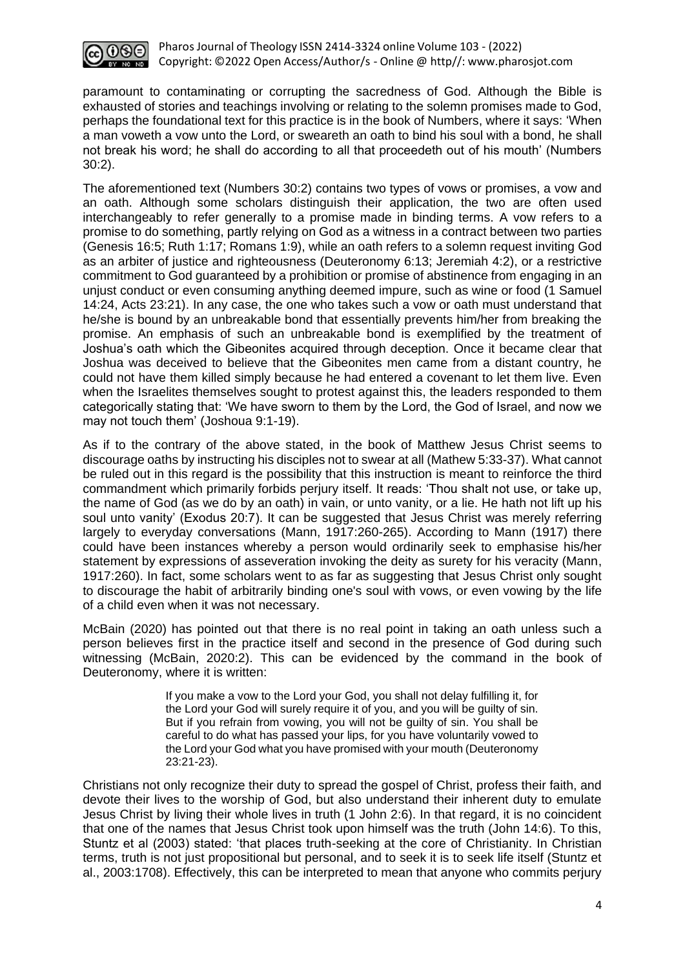

paramount to contaminating or corrupting the sacredness of God. Although the Bible is exhausted of stories and teachings involving or relating to the solemn promises made to God, perhaps the foundational text for this practice is in the book of Numbers, where it says: 'When a man voweth a vow unto the Lord, or sweareth an oath to bind his soul with a bond, he shall not break his word; he shall do according to all that proceedeth out of his mouth' (Numbers 30:2).

The aforementioned text (Numbers 30:2) contains two types of vows or promises, a vow and an oath. Although some scholars distinguish their application, the two are often used interchangeably to refer generally to a promise made in binding terms. A vow refers to a promise to do something, partly relying on God as a witness in a contract between two parties (Genesis 16:5; Ruth 1:17; Romans 1:9), while an oath refers to a solemn request inviting God as an arbiter of justice and righteousness (Deuteronomy 6:13; Jeremiah 4:2), or a restrictive commitment to God guaranteed by a prohibition or promise of abstinence from engaging in an unjust conduct or even consuming anything deemed impure, such as wine or food (1 Samuel 14:24, Acts 23:21). In any case, the one who takes such a vow or oath must understand that he/she is bound by an unbreakable bond that essentially prevents him/her from breaking the promise. An emphasis of such an unbreakable bond is exemplified by the treatment of Joshua's oath which the Gibeonites acquired through deception. Once it became clear that Joshua was deceived to believe that the Gibeonites men came from a distant country, he could not have them killed simply because he had entered a covenant to let them live. Even when the Israelites themselves sought to protest against this, the leaders responded to them categorically stating that: 'We have sworn to them by the Lord, the God of Israel, and now we may not touch them' (Joshoua 9:1-19).

As if to the contrary of the above stated, in the book of Matthew Jesus Christ seems to discourage oaths by instructing his disciples not to swear at all (Mathew 5:33-37). What cannot be ruled out in this regard is the possibility that this instruction is meant to reinforce the third commandment which primarily forbids perjury itself. It reads: 'Thou shalt not use, or take up, the name of God (as we do by an oath) in vain, or unto vanity, or a lie. He hath not lift up his soul unto vanity' (Exodus 20:7). It can be suggested that Jesus Christ was merely referring largely to everyday conversations (Mann, 1917:260-265). According to Mann (1917) there could have been instances whereby a person would ordinarily seek to emphasise his/her statement by expressions of asseveration invoking the deity as surety for his veracity (Mann, 1917:260). In fact, some scholars went to as far as suggesting that Jesus Christ only sought to discourage the habit of arbitrarily binding one's soul with vows, or even vowing by the life of a child even when it was not necessary.

McBain (2020) has pointed out that there is no real point in taking an oath unless such a person believes first in the practice itself and second in the presence of God during such witnessing (McBain, 2020:2). This can be evidenced by the command in the book of Deuteronomy, where it is written:

> If you make a vow to the Lord your God, you shall not delay fulfilling it, for the Lord your God will surely require it of you, and you will be guilty of sin. But if you refrain from vowing, you will not be guilty of sin. You shall be careful to do what has passed your lips, for you have voluntarily vowed to the Lord your God what you have promised with your mouth (Deuteronomy 23:21-23).

Christians not only recognize their duty to spread the gospel of Christ, profess their faith, and devote their lives to the worship of God, but also understand their inherent duty to emulate Jesus Christ by living their whole lives in truth (1 John 2:6). In that regard, it is no coincident that one of the names that Jesus Christ took upon himself was the truth (John 14:6). To this, Stuntz et al (2003) stated: 'that places truth-seeking at the core of Christianity. In Christian terms, truth is not just propositional but personal, and to seek it is to seek life itself (Stuntz et al., 2003:1708). Effectively, this can be interpreted to mean that anyone who commits perjury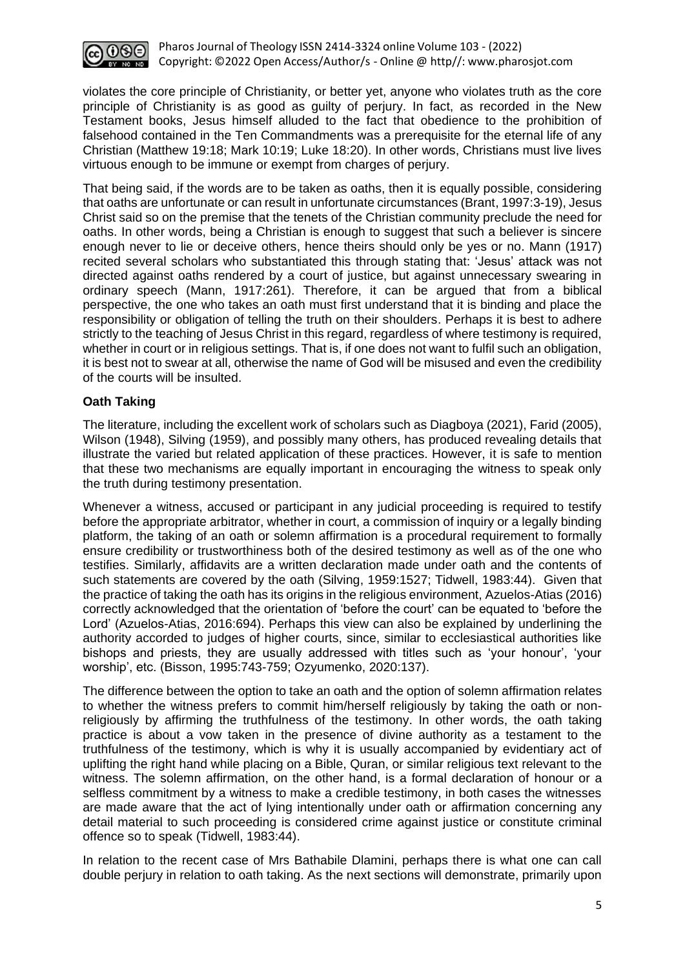

violates the core principle of Christianity, or better yet, anyone who violates truth as the core principle of Christianity is as good as guilty of perjury. In fact, as recorded in the New Testament books, Jesus himself alluded to the fact that obedience to the prohibition of falsehood contained in the Ten Commandments was a prerequisite for the eternal life of any Christian (Matthew 19:18; Mark 10:19; Luke 18:20). In other words, Christians must live lives virtuous enough to be immune or exempt from charges of perjury.

That being said, if the words are to be taken as oaths, then it is equally possible, considering that oaths are unfortunate or can result in unfortunate circumstances (Brant, 1997:3-19), Jesus Christ said so on the premise that the tenets of the Christian community preclude the need for oaths. In other words, being a Christian is enough to suggest that such a believer is sincere enough never to lie or deceive others, hence theirs should only be yes or no. Mann (1917) recited several scholars who substantiated this through stating that: 'Jesus' attack was not directed against oaths rendered by a court of justice, but against unnecessary swearing in ordinary speech (Mann, 1917:261). Therefore, it can be argued that from a biblical perspective, the one who takes an oath must first understand that it is binding and place the responsibility or obligation of telling the truth on their shoulders. Perhaps it is best to adhere strictly to the teaching of Jesus Christ in this regard, regardless of where testimony is required, whether in court or in religious settings. That is, if one does not want to fulfil such an obligation, it is best not to swear at all, otherwise the name of God will be misused and even the credibility of the courts will be insulted.

# **Oath Taking**

The literature, including the excellent work of scholars such as Diagboya (2021), Farid (2005), Wilson (1948), Silving (1959), and possibly many others, has produced revealing details that illustrate the varied but related application of these practices. However, it is safe to mention that these two mechanisms are equally important in encouraging the witness to speak only the truth during testimony presentation.

Whenever a witness, accused or participant in any judicial proceeding is required to testify before the appropriate arbitrator, whether in court, a commission of inquiry or a legally binding platform, the taking of an oath or solemn affirmation is a procedural requirement to formally ensure credibility or trustworthiness both of the desired testimony as well as of the one who testifies. Similarly, affidavits are a written declaration made under oath and the contents of such statements are covered by the oath (Silving, 1959:1527; Tidwell, 1983:44). Given that the practice of taking the oath has its origins in the religious environment, Azuelos-Atias (2016) correctly acknowledged that the orientation of 'before the court' can be equated to 'before the Lord' (Azuelos-Atias, 2016:694). Perhaps this view can also be explained by underlining the authority accorded to judges of higher courts, since, similar to ecclesiastical authorities like bishops and priests, they are usually addressed with titles such as 'your honour', 'your worship', etc. (Bisson, 1995:743-759; Ozyumenko, 2020:137).

The difference between the option to take an oath and the option of solemn affirmation relates to whether the witness prefers to commit him/herself religiously by taking the oath or nonreligiously by affirming the truthfulness of the testimony. In other words, the oath taking practice is about a vow taken in the presence of divine authority as a testament to the truthfulness of the testimony, which is why it is usually accompanied by evidentiary act of uplifting the right hand while placing on a Bible, Quran, or similar religious text relevant to the witness. The solemn affirmation, on the other hand, is a formal declaration of honour or a selfless commitment by a witness to make a credible testimony, in both cases the witnesses are made aware that the act of lying intentionally under oath or affirmation concerning any detail material to such proceeding is considered crime against justice or constitute criminal offence so to speak (Tidwell, 1983:44).

In relation to the recent case of Mrs Bathabile Dlamini, perhaps there is what one can call double perjury in relation to oath taking. As the next sections will demonstrate, primarily upon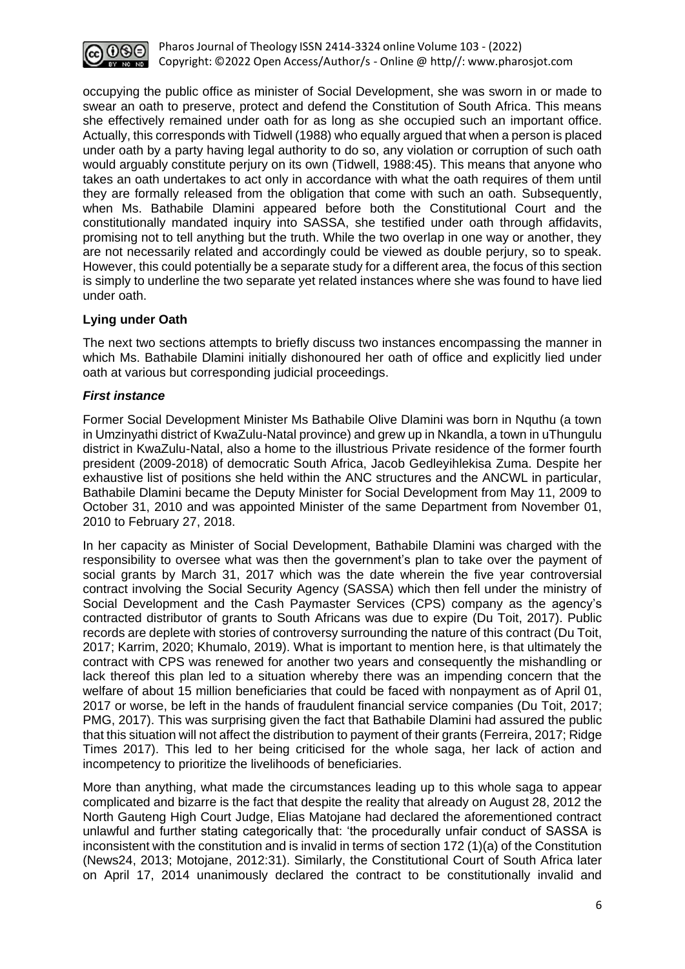

occupying the public office as minister of Social Development, she was sworn in or made to swear an oath to preserve, protect and defend the Constitution of South Africa. This means she effectively remained under oath for as long as she occupied such an important office. Actually, this corresponds with Tidwell (1988) who equally argued that when a person is placed under oath by a party having legal authority to do so, any violation or corruption of such oath would arguably constitute perjury on its own (Tidwell, 1988:45). This means that anyone who takes an oath undertakes to act only in accordance with what the oath requires of them until they are formally released from the obligation that come with such an oath. Subsequently, when Ms. Bathabile Dlamini appeared before both the Constitutional Court and the constitutionally mandated inquiry into SASSA, she testified under oath through affidavits, promising not to tell anything but the truth. While the two overlap in one way or another, they are not necessarily related and accordingly could be viewed as double perjury, so to speak. However, this could potentially be a separate study for a different area, the focus of this section is simply to underline the two separate yet related instances where she was found to have lied under oath.

# **Lying under Oath**

The next two sections attempts to briefly discuss two instances encompassing the manner in which Ms. Bathabile Dlamini initially dishonoured her oath of office and explicitly lied under oath at various but corresponding judicial proceedings.

# *First instance*

Former Social Development Minister Ms Bathabile Olive Dlamini was born in Nquthu (a town in Umzinyathi district of KwaZulu-Natal province) and grew up in Nkandla, a town in uThungulu district in KwaZulu-Natal, also a home to the illustrious Private residence of the former fourth president (2009-2018) of democratic South Africa, Jacob Gedleyihlekisa Zuma. Despite her exhaustive list of positions she held within the ANC structures and the ANCWL in particular, Bathabile Dlamini became the Deputy Minister for Social Development from May 11, 2009 to October 31, 2010 and was appointed Minister of the same Department from November 01, 2010 to February 27, 2018.

In her capacity as Minister of Social Development, Bathabile Dlamini was charged with the responsibility to oversee what was then the government's plan to take over the payment of social grants by March 31, 2017 which was the date wherein the five year controversial contract involving the Social Security Agency (SASSA) which then fell under the ministry of Social Development and the Cash Paymaster Services (CPS) company as the agency's contracted distributor of grants to South Africans was due to expire (Du Toit, 2017). Public records are deplete with stories of controversy surrounding the nature of this contract (Du Toit, 2017; Karrim, 2020; Khumalo, 2019). What is important to mention here, is that ultimately the contract with CPS was renewed for another two years and consequently the mishandling or lack thereof this plan led to a situation whereby there was an impending concern that the welfare of about 15 million beneficiaries that could be faced with nonpayment as of April 01, 2017 or worse, be left in the hands of fraudulent financial service companies (Du Toit, 2017; PMG, 2017). This was surprising given the fact that Bathabile Dlamini had assured the public that this situation will not affect the distribution to payment of their grants (Ferreira, 2017; Ridge Times 2017). This led to her being criticised for the whole saga, her lack of action and incompetency to prioritize the livelihoods of beneficiaries.

More than anything, what made the circumstances leading up to this whole saga to appear complicated and bizarre is the fact that despite the reality that already on August 28, 2012 the North Gauteng High Court Judge, Elias Matojane had declared the aforementioned contract unlawful and further stating categorically that: 'the procedurally unfair conduct of SASSA is inconsistent with the constitution and is invalid in terms of section 172 (1)(a) of the Constitution (News24, 2013; Motojane, 2012:31). Similarly, the Constitutional Court of South Africa later on April 17, 2014 unanimously declared the contract to be constitutionally invalid and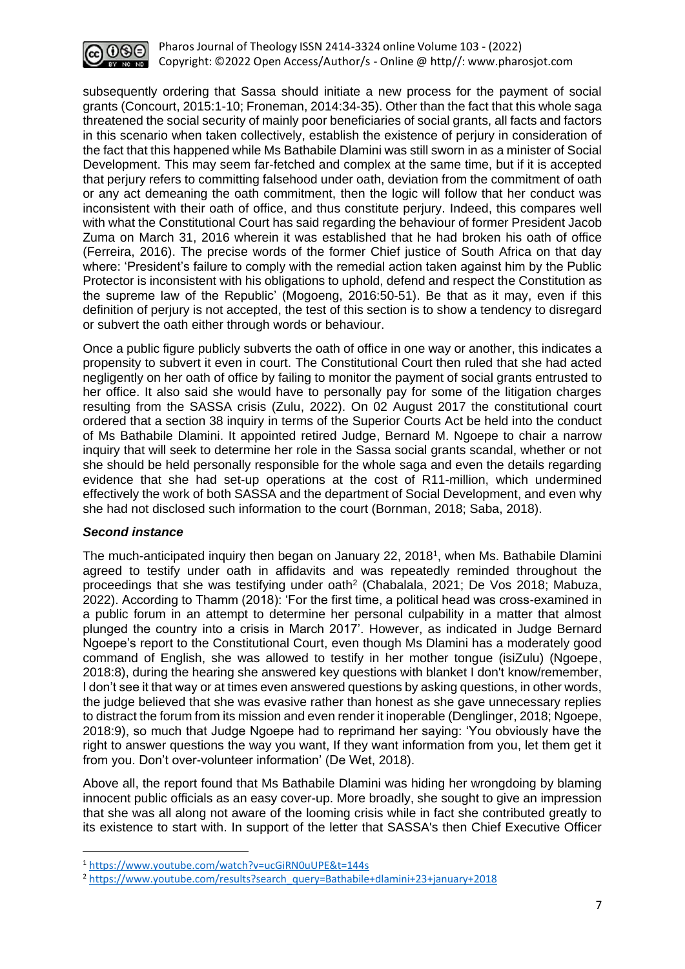

subsequently ordering that Sassa should initiate a new process for the payment of social grants (Concourt, 2015:1-10; Froneman, 2014:34-35). Other than the fact that this whole saga threatened the social security of mainly poor beneficiaries of social grants, all facts and factors in this scenario when taken collectively, establish the existence of perjury in consideration of the fact that this happened while Ms Bathabile Dlamini was still sworn in as a minister of Social Development. This may seem far-fetched and complex at the same time, but if it is accepted that perjury refers to committing falsehood under oath, deviation from the commitment of oath or any act demeaning the oath commitment, then the logic will follow that her conduct was inconsistent with their oath of office, and thus constitute perjury. Indeed, this compares well with what the Constitutional Court has said regarding the behaviour of former President Jacob Zuma on March 31, 2016 wherein it was established that he had broken his oath of office (Ferreira, 2016). The precise words of the former Chief justice of South Africa on that day where: 'President's failure to comply with the remedial action taken against him by the Public Protector is inconsistent with his obligations to uphold, defend and respect the Constitution as the supreme law of the Republic' (Mogoeng, 2016:50-51). Be that as it may, even if this definition of perjury is not accepted, the test of this section is to show a tendency to disregard or subvert the oath either through words or behaviour.

Once a public figure publicly subverts the oath of office in one way or another, this indicates a propensity to subvert it even in court. The Constitutional Court then ruled that she had acted negligently on her oath of office by failing to monitor the payment of social grants entrusted to her office. It also said she would have to personally pay for some of the litigation charges resulting from the SASSA crisis (Zulu, 2022). On 02 August 2017 the constitutional court ordered that a section 38 inquiry in terms of the Superior Courts Act be held into the conduct of Ms Bathabile Dlamini. It appointed retired Judge, Bernard M. Ngoepe to chair a narrow inquiry that will seek to determine her role in the Sassa social grants scandal, whether or not she should be held personally responsible for the whole saga and even the details regarding evidence that she had set-up operations at the cost of R11-million, which undermined effectively the work of both SASSA and the department of Social Development, and even why she had not disclosed such information to the court (Bornman, 2018; Saba, 2018).

## *Second instance*

The much-anticipated inquiry then began on January 22, 2018<sup>1</sup>, when Ms. Bathabile Dlamini agreed to testify under oath in affidavits and was repeatedly reminded throughout the proceedings that she was testifying under oath<sup>2</sup> (Chabalala, 2021; De Vos 2018; Mabuza, 2022). According to Thamm (2018): 'For the first time, a political head was cross-examined in a public forum in an attempt to determine her personal culpability in a matter that almost plunged the country into a crisis in March 2017'. However, as indicated in Judge Bernard Ngoepe's report to the Constitutional Court, even though Ms Dlamini has a moderately good command of English, she was allowed to testify in her mother tongue (isiZulu) (Ngoepe, 2018:8), during the hearing she answered key questions with blanket I don't know/remember, I don't see it that way or at times even answered questions by asking questions, in other words, the judge believed that she was evasive rather than honest as she gave unnecessary replies to distract the forum from its mission and even render it inoperable (Denglinger, 2018; Ngoepe, 2018:9), so much that Judge Ngoepe had to reprimand her saying: 'You obviously have the right to answer questions the way you want, If they want information from you, let them get it from you. Don't over-volunteer information' (De Wet, 2018).

Above all, the report found that Ms Bathabile Dlamini was hiding her wrongdoing by blaming innocent public officials as an easy cover-up. More broadly, she sought to give an impression that she was all along not aware of the looming crisis while in fact she contributed greatly to its existence to start with. In support of the letter that SASSA's then Chief Executive Officer

<sup>1</sup> <https://www.youtube.com/watch?v=ucGiRN0uUPE&t=144s>

<sup>2</sup> [https://www.youtube.com/results?search\\_query=Bathabile+dlamini+23+january+2018](https://www.youtube.com/results?search_query=Bathabile+dlamini+23+january+2018)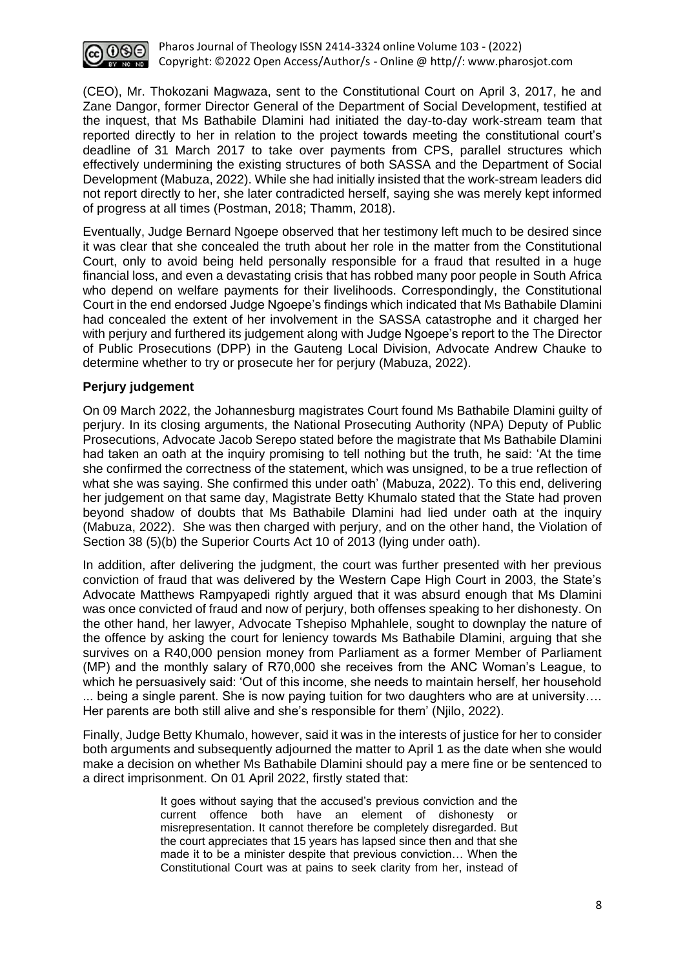

(CEO), Mr. Thokozani Magwaza, sent to the Constitutional Court on April 3, 2017, he and Zane Dangor, former Director General of the Department of Social Development, testified at the inquest, that Ms Bathabile Dlamini had initiated the day-to-day work-stream team that reported directly to her in relation to the project towards meeting the constitutional court's deadline of 31 March 2017 to take over payments from CPS, parallel structures which effectively undermining the existing structures of both SASSA and the Department of Social Development (Mabuza, 2022). While she had initially insisted that the work-stream leaders did not report directly to her, she later contradicted herself, saying she was merely kept informed of progress at all times (Postman, 2018; Thamm, 2018).

Eventually, Judge Bernard Ngoepe observed that her testimony left much to be desired since it was clear that she concealed the truth about her role in the matter from the Constitutional Court, only to avoid being held personally responsible for a fraud that resulted in a huge financial loss, and even a devastating crisis that has robbed many poor people in South Africa who depend on welfare payments for their livelihoods. Correspondingly, the Constitutional Court in the end endorsed Judge Ngoepe's findings which indicated that Ms Bathabile Dlamini had concealed the extent of her involvement in the SASSA catastrophe and it charged her with perjury and furthered its judgement along with Judge Ngoepe's report to the The Director of Public Prosecutions (DPP) in the Gauteng Local Division, Advocate Andrew Chauke to determine whether to try or prosecute her for perjury (Mabuza, 2022).

# **Perjury judgement**

On 09 March 2022, the Johannesburg magistrates Court found Ms Bathabile Dlamini guilty of perjury. In its closing arguments, the National Prosecuting Authority (NPA) Deputy of Public Prosecutions, Advocate Jacob Serepo stated before the magistrate that Ms Bathabile Dlamini had taken an oath at the inquiry promising to tell nothing but the truth, he said: 'At the time she confirmed the correctness of the statement, which was unsigned, to be a true reflection of what she was saying. She confirmed this under oath' (Mabuza, 2022). To this end, delivering her judgement on that same day, Magistrate Betty Khumalo stated that the State had proven beyond shadow of doubts that Ms Bathabile Dlamini had lied under oath at the inquiry (Mabuza, 2022). She was then charged with perjury, and on the other hand, the Violation of Section 38 (5)(b) the Superior Courts Act 10 of 2013 (lying under oath).

In addition, after delivering the judgment, the court was further presented with her previous conviction of fraud that was delivered by the Western Cape High Court in 2003, the State's Advocate Matthews Rampyapedi rightly argued that it was absurd enough that Ms Dlamini was once convicted of fraud and now of perjury, both offenses speaking to her dishonesty. On the other hand, her lawyer, Advocate Tshepiso Mphahlele, sought to downplay the nature of the offence by asking the court for leniency towards Ms Bathabile Dlamini, arguing that she survives on a R40,000 pension money from Parliament as a former Member of Parliament (MP) and the monthly salary of R70,000 she receives from the ANC Woman's League, to which he persuasively said: 'Out of this income, she needs to maintain herself, her household ... being a single parent. She is now paying tuition for two daughters who are at university…. Her parents are both still alive and she's responsible for them' (Njilo, 2022).

Finally, Judge Betty Khumalo, however, said it was in the interests of justice for her to consider both arguments and subsequently adjourned the matter to April 1 as the date when she would make a decision on whether Ms Bathabile Dlamini should pay a mere fine or be sentenced to a direct imprisonment. On 01 April 2022, firstly stated that:

> It goes without saying that the accused's previous conviction and the current offence both have an element of dishonesty or misrepresentation. It cannot therefore be completely disregarded. But the court appreciates that 15 years has lapsed since then and that she made it to be a minister despite that previous conviction… When the Constitutional Court was at pains to seek clarity from her, instead of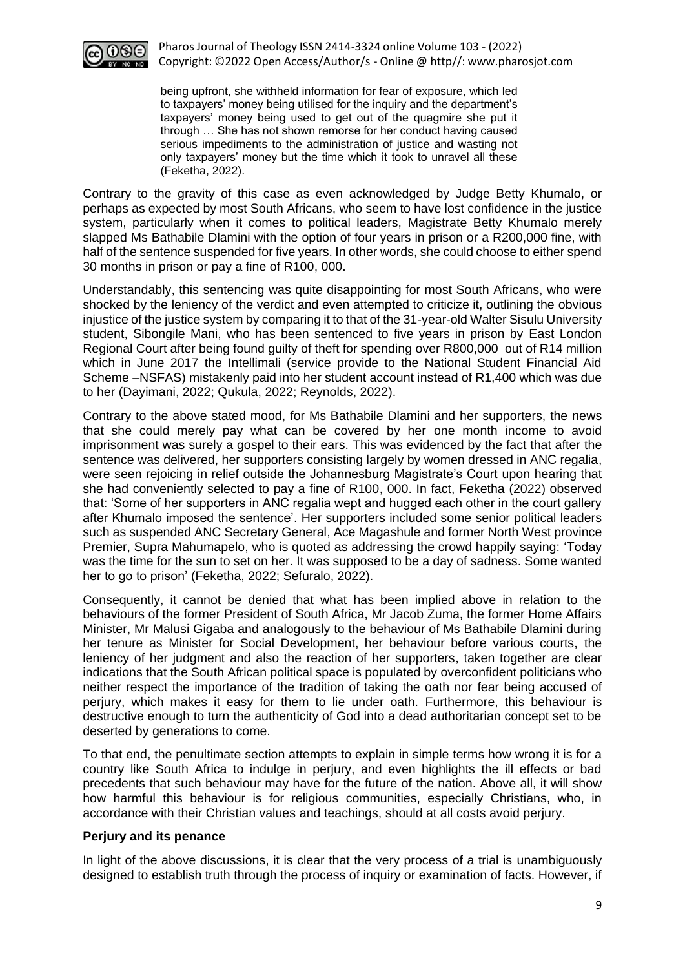

being upfront, she withheld information for fear of exposure, which led to taxpayers' money being utilised for the inquiry and the department's taxpayers' money being used to get out of the quagmire she put it through … She has not shown remorse for her conduct having caused serious impediments to the administration of justice and wasting not only taxpayers' money but the time which it took to unravel all these (Feketha, 2022).

Contrary to the gravity of this case as even acknowledged by Judge Betty Khumalo, or perhaps as expected by most South Africans, who seem to have lost confidence in the justice system, particularly when it comes to political leaders, Magistrate Betty Khumalo merely slapped Ms Bathabile Dlamini with the option of four years in prison or a R200,000 fine, with half of the sentence suspended for five years. In other words, she could choose to either spend 30 months in prison or pay a fine of R100, 000.

Understandably, this sentencing was quite disappointing for most South Africans, who were shocked by the leniency of the verdict and even attempted to criticize it, outlining the obvious injustice of the justice system by comparing it to that of the 31-year-old Walter Sisulu University student, Sibongile Mani, who has been sentenced to five years in prison by East London Regional Court after being found guilty of theft for spending over R800,000 out of R14 million which in June 2017 the Intellimali (service provide to the National Student Financial Aid Scheme –NSFAS) mistakenly paid into her student account instead of R1,400 which was due to her (Dayimani, 2022; Qukula, 2022; Reynolds, 2022).

Contrary to the above stated mood, for Ms Bathabile Dlamini and her supporters, the news that she could merely pay what can be covered by her one month income to avoid imprisonment was surely a gospel to their ears. This was evidenced by the fact that after the sentence was delivered, her supporters consisting largely by women dressed in ANC regalia, were seen rejoicing in relief outside the Johannesburg Magistrate's Court upon hearing that she had conveniently selected to pay a fine of R100, 000. In fact, Feketha (2022) observed that: 'Some of her supporters in ANC regalia wept and hugged each other in the court gallery after Khumalo imposed the sentence'. Her supporters included some senior political leaders such as suspended ANC Secretary General, Ace Magashule and former North West province Premier, Supra Mahumapelo, who is quoted as addressing the crowd happily saying: 'Today was the time for the sun to set on her. It was supposed to be a day of sadness. Some wanted her to go to prison' (Feketha, 2022; Sefuralo, 2022).

Consequently, it cannot be denied that what has been implied above in relation to the behaviours of the former President of South Africa, Mr Jacob Zuma, the former Home Affairs Minister, Mr Malusi Gigaba and analogously to the behaviour of Ms Bathabile Dlamini during her tenure as Minister for Social Development, her behaviour before various courts, the leniency of her judgment and also the reaction of her supporters, taken together are clear indications that the South African political space is populated by overconfident politicians who neither respect the importance of the tradition of taking the oath nor fear being accused of perjury, which makes it easy for them to lie under oath. Furthermore, this behaviour is destructive enough to turn the authenticity of God into a dead authoritarian concept set to be deserted by generations to come.

To that end, the penultimate section attempts to explain in simple terms how wrong it is for a country like South Africa to indulge in perjury, and even highlights the ill effects or bad precedents that such behaviour may have for the future of the nation. Above all, it will show how harmful this behaviour is for religious communities, especially Christians, who, in accordance with their Christian values and teachings, should at all costs avoid perjury.

## **Perjury and its penance**

In light of the above discussions, it is clear that the very process of a trial is unambiguously designed to establish truth through the process of inquiry or examination of facts. However, if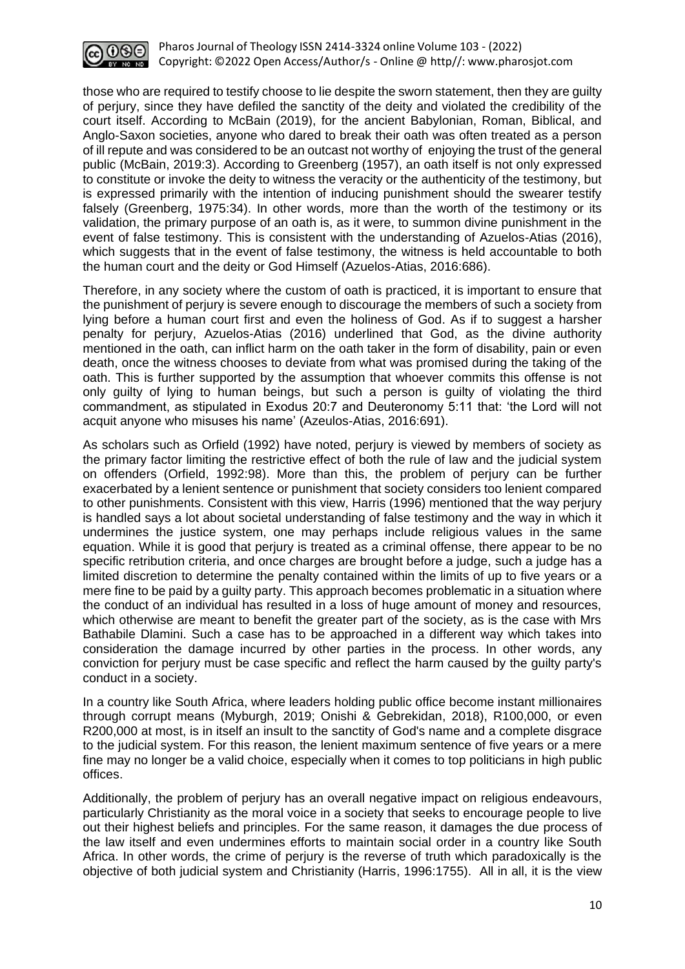

those who are required to testify choose to lie despite the sworn statement, then they are guilty of perjury, since they have defiled the sanctity of the deity and violated the credibility of the court itself. According to McBain (2019), for the ancient Babylonian, Roman, Biblical, and Anglo-Saxon societies, anyone who dared to break their oath was often treated as a person of ill repute and was considered to be an outcast not worthy of enjoying the trust of the general public (McBain, 2019:3). According to Greenberg (1957), an oath itself is not only expressed to constitute or invoke the deity to witness the veracity or the authenticity of the testimony, but is expressed primarily with the intention of inducing punishment should the swearer testify falsely (Greenberg, 1975:34). In other words, more than the worth of the testimony or its validation, the primary purpose of an oath is, as it were, to summon divine punishment in the event of false testimony. This is consistent with the understanding of Azuelos-Atias (2016), which suggests that in the event of false testimony, the witness is held accountable to both the human court and the deity or God Himself (Azuelos-Atias, 2016:686).

Therefore, in any society where the custom of oath is practiced, it is important to ensure that the punishment of perjury is severe enough to discourage the members of such a society from lying before a human court first and even the holiness of God. As if to suggest a harsher penalty for perjury, Azuelos-Atias (2016) underlined that God, as the divine authority mentioned in the oath, can inflict harm on the oath taker in the form of disability, pain or even death, once the witness chooses to deviate from what was promised during the taking of the oath. This is further supported by the assumption that whoever commits this offense is not only guilty of lying to human beings, but such a person is guilty of violating the third commandment, as stipulated in Exodus 20:7 and Deuteronomy 5:11 that: 'the Lord will not acquit anyone who misuses his name' (Azeulos-Atias, 2016:691).

As scholars such as Orfield (1992) have noted, perjury is viewed by members of society as the primary factor limiting the restrictive effect of both the rule of law and the judicial system on offenders (Orfield, 1992:98). More than this, the problem of perjury can be further exacerbated by a lenient sentence or punishment that society considers too lenient compared to other punishments. Consistent with this view, Harris (1996) mentioned that the way perjury is handled says a lot about societal understanding of false testimony and the way in which it undermines the justice system, one may perhaps include religious values in the same equation. While it is good that perjury is treated as a criminal offense, there appear to be no specific retribution criteria, and once charges are brought before a judge, such a judge has a limited discretion to determine the penalty contained within the limits of up to five years or a mere fine to be paid by a guilty party. This approach becomes problematic in a situation where the conduct of an individual has resulted in a loss of huge amount of money and resources, which otherwise are meant to benefit the greater part of the society, as is the case with Mrs Bathabile Dlamini. Such a case has to be approached in a different way which takes into consideration the damage incurred by other parties in the process. In other words, any conviction for perjury must be case specific and reflect the harm caused by the guilty party's conduct in a society.

In a country like South Africa, where leaders holding public office become instant millionaires through corrupt means (Myburgh, 2019; Onishi & Gebrekidan, 2018), R100,000, or even R200,000 at most, is in itself an insult to the sanctity of God's name and a complete disgrace to the judicial system. For this reason, the lenient maximum sentence of five years or a mere fine may no longer be a valid choice, especially when it comes to top politicians in high public offices.

Additionally, the problem of perjury has an overall negative impact on religious endeavours, particularly Christianity as the moral voice in a society that seeks to encourage people to live out their highest beliefs and principles. For the same reason, it damages the due process of the law itself and even undermines efforts to maintain social order in a country like South Africa. In other words, the crime of perjury is the reverse of truth which paradoxically is the objective of both judicial system and Christianity (Harris, 1996:1755). All in all, it is the view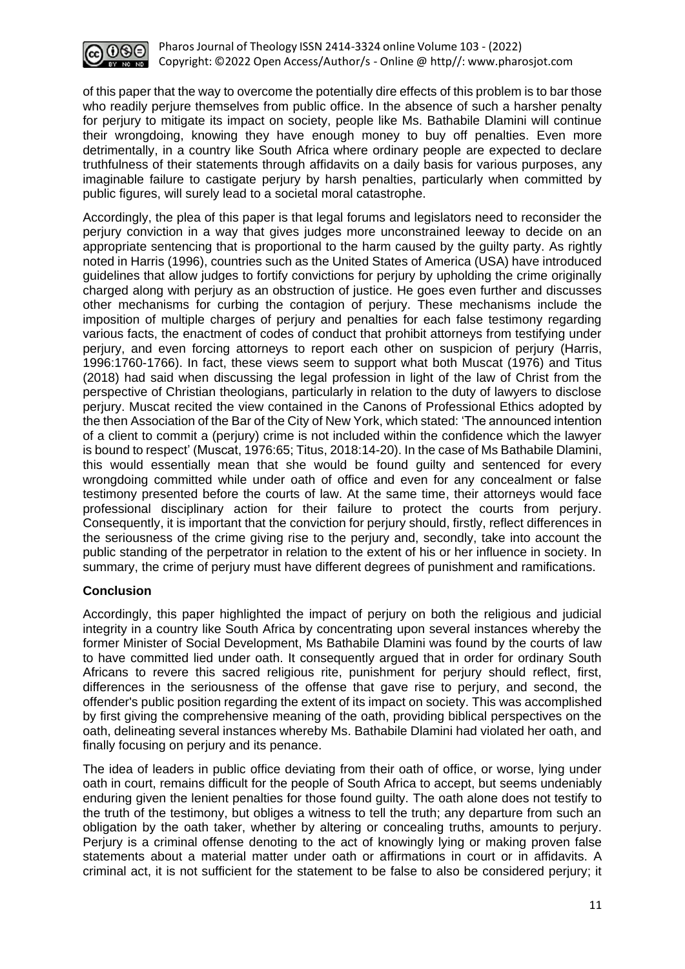

of this paper that the way to overcome the potentially dire effects of this problem is to bar those who readily perjure themselves from public office. In the absence of such a harsher penalty for perjury to mitigate its impact on society, people like Ms. Bathabile Dlamini will continue their wrongdoing, knowing they have enough money to buy off penalties. Even more detrimentally, in a country like South Africa where ordinary people are expected to declare truthfulness of their statements through affidavits on a daily basis for various purposes, any imaginable failure to castigate perjury by harsh penalties, particularly when committed by public figures, will surely lead to a societal moral catastrophe.

Accordingly, the plea of this paper is that legal forums and legislators need to reconsider the perjury conviction in a way that gives judges more unconstrained leeway to decide on an appropriate sentencing that is proportional to the harm caused by the guilty party. As rightly noted in Harris (1996), countries such as the United States of America (USA) have introduced guidelines that allow judges to fortify convictions for perjury by upholding the crime originally charged along with perjury as an obstruction of justice. He goes even further and discusses other mechanisms for curbing the contagion of perjury. These mechanisms include the imposition of multiple charges of perjury and penalties for each false testimony regarding various facts, the enactment of codes of conduct that prohibit attorneys from testifying under perjury, and even forcing attorneys to report each other on suspicion of perjury (Harris, 1996:1760-1766). In fact, these views seem to support what both Muscat (1976) and Titus (2018) had said when discussing the legal profession in light of the law of Christ from the perspective of Christian theologians, particularly in relation to the duty of lawyers to disclose perjury. Muscat recited the view contained in the Canons of Professional Ethics adopted by the then Association of the Bar of the City of New York, which stated: 'The announced intention of a client to commit a (perjury) crime is not included within the confidence which the lawyer is bound to respect' (Muscat, 1976:65; Titus, 2018:14-20). In the case of Ms Bathabile Dlamini, this would essentially mean that she would be found guilty and sentenced for every wrongdoing committed while under oath of office and even for any concealment or false testimony presented before the courts of law. At the same time, their attorneys would face professional disciplinary action for their failure to protect the courts from perjury. Consequently, it is important that the conviction for perjury should, firstly, reflect differences in the seriousness of the crime giving rise to the perjury and, secondly, take into account the public standing of the perpetrator in relation to the extent of his or her influence in society. In summary, the crime of perjury must have different degrees of punishment and ramifications.

## **Conclusion**

Accordingly, this paper highlighted the impact of perjury on both the religious and judicial integrity in a country like South Africa by concentrating upon several instances whereby the former Minister of Social Development, Ms Bathabile Dlamini was found by the courts of law to have committed lied under oath. It consequently argued that in order for ordinary South Africans to revere this sacred religious rite, punishment for perjury should reflect, first, differences in the seriousness of the offense that gave rise to perjury, and second, the offender's public position regarding the extent of its impact on society. This was accomplished by first giving the comprehensive meaning of the oath, providing biblical perspectives on the oath, delineating several instances whereby Ms. Bathabile Dlamini had violated her oath, and finally focusing on perjury and its penance.

The idea of leaders in public office deviating from their oath of office, or worse, lying under oath in court, remains difficult for the people of South Africa to accept, but seems undeniably enduring given the lenient penalties for those found guilty. The oath alone does not testify to the truth of the testimony, but obliges a witness to tell the truth; any departure from such an obligation by the oath taker, whether by altering or concealing truths, amounts to perjury. Perjury is a criminal offense denoting to the act of knowingly lying or making proven false statements about a material matter under oath or affirmations in court or in affidavits. A criminal act, it is not sufficient for the statement to be false to also be considered perjury; it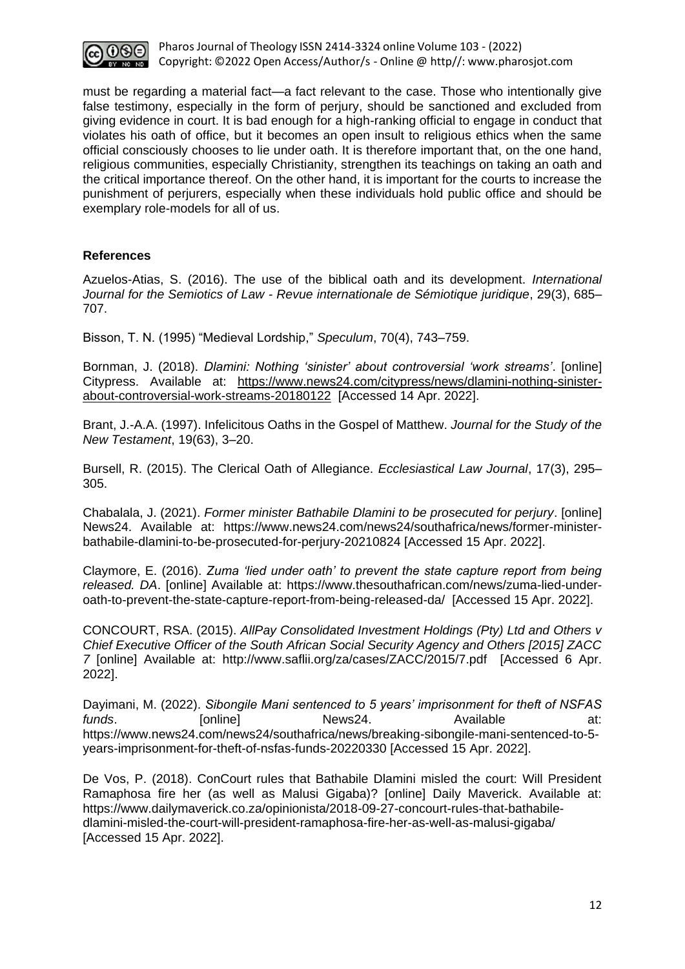

must be regarding a material fact—a fact relevant to the case. Those who intentionally give false testimony, especially in the form of perjury, should be sanctioned and excluded from giving evidence in court. It is bad enough for a high-ranking official to engage in conduct that violates his oath of office, but it becomes an open insult to religious ethics when the same official consciously chooses to lie under oath. It is therefore important that, on the one hand, religious communities, especially Christianity, strengthen its teachings on taking an oath and the critical importance thereof. On the other hand, it is important for the courts to increase the punishment of perjurers, especially when these individuals hold public office and should be exemplary role-models for all of us.

# **References**

Azuelos-Atias, S. (2016). The use of the biblical oath and its development. *International Journal for the Semiotics of Law - Revue internationale de Sémiotique juridique*, 29(3), 685– 707.

Bisson, T. N. (1995) "Medieval Lordship," *Speculum*, 70(4), 743–759.

Bornman, J. (2018). *Dlamini: Nothing 'sinister' about controversial 'work streams'*. [online] Citypress. Available at: [https://www.news24.com/citypress/news/dlamini-nothing-sinister](https://www.news24.com/citypress/news/dlamini-nothing-sinister-about-controversial-work-streams-20180122)[about-controversial-work-streams-20180122](https://www.news24.com/citypress/news/dlamini-nothing-sinister-about-controversial-work-streams-20180122) [Accessed 14 Apr. 2022].

Brant, J.-A.A. (1997). Infelicitous Oaths in the Gospel of Matthew. *Journal for the Study of the New Testament*, 19(63), 3–20.

Bursell, R. (2015). The Clerical Oath of Allegiance. *Ecclesiastical Law Journal*, 17(3), 295– 305.

Chabalala, J. (2021). *Former minister Bathabile Dlamini to be prosecuted for perjury*. [online] News24. Available at: [https://www.news24.com/news24/southafrica/news/former-minister](https://www.news24.com/news24/southafrica/news/former-minister-bathabile-dlamini-to-be-prosecuted-for-perjury-20210824)[bathabile-dlamini-to-be-prosecuted-for-perjury-20210824](https://www.news24.com/news24/southafrica/news/former-minister-bathabile-dlamini-to-be-prosecuted-for-perjury-20210824) [Accessed 15 Apr. 2022].

Claymore, E. (2016). *Zuma 'lied under oath' to prevent the state capture report from being released. DA*. [online] Available at: [https://www.thesouthafrican.com/news/zuma-lied-under](https://www.thesouthafrican.com/news/zuma-lied-under-oath-to-prevent-the-state-capture-report-from-being-released-da/)[oath-to-prevent-the-state-capture-report-from-being-released-da/](https://www.thesouthafrican.com/news/zuma-lied-under-oath-to-prevent-the-state-capture-report-from-being-released-da/) [Accessed 15 Apr. 2022].

CONCOURT, RSA. (2015). *AllPay Consolidated Investment Holdings (Pty) Ltd and Others v Chief Executive Officer of the South African Social Security Agency and Others [2015] ZACC 7* [online] Available at: <http://www.saflii.org/za/cases/ZACC/2015/7.pdf>[Accessed 6 Apr. 2022].

Dayimani, M. (2022). *Sibongile Mani sentenced to 5 years' imprisonment for theft of NSFAS*  funds. **Example 1** [online] **News24.** Available at: [https://www.news24.com/news24/southafrica/news/breaking-sibongile-mani-sentenced-to-5](https://www.news24.com/news24/southafrica/news/breaking-sibongile-mani-sentenced-to-5-years-imprisonment-for-theft-of-nsfas-funds-20220330) [years-imprisonment-for-theft-of-nsfas-funds-20220330](https://www.news24.com/news24/southafrica/news/breaking-sibongile-mani-sentenced-to-5-years-imprisonment-for-theft-of-nsfas-funds-20220330) [Accessed 15 Apr. 2022].

De Vos, P. (2018). ConCourt rules that Bathabile Dlamini misled the court: Will President Ramaphosa fire her (as well as Malusi Gigaba)? [online] Daily Maverick. Available at: [https://www.dailymaverick.co.za/opinionista/2018-09-27-concourt-rules-that-bathabile](https://www.dailymaverick.co.za/opinionista/2018-09-27-concourt-rules-that-bathabile-dlamini-misled-the-court-will-president-ramaphosa-fire-her-as-well-as-malusi-gigaba/)[dlamini-misled-the-court-will-president-ramaphosa-fire-her-as-well-as-malusi-gigaba/](https://www.dailymaverick.co.za/opinionista/2018-09-27-concourt-rules-that-bathabile-dlamini-misled-the-court-will-president-ramaphosa-fire-her-as-well-as-malusi-gigaba/)  [Accessed 15 Apr. 2022].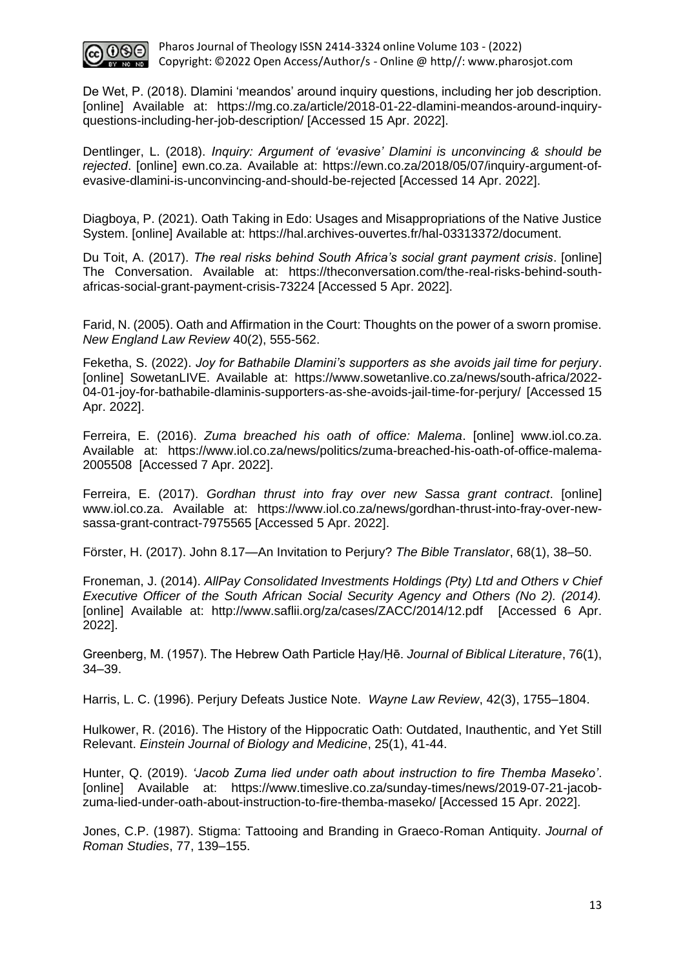

De Wet, P. (2018). Dlamini 'meandos' around inquiry questions, including her job description. [online] Available at: [https://mg.co.za/article/2018-01-22-dlamini-meandos-around-inquiry](https://mg.co.za/article/2018-01-22-dlamini-meandos-around-inquiry-questions-including-her-job-description/)[questions-including-her-job-description/](https://mg.co.za/article/2018-01-22-dlamini-meandos-around-inquiry-questions-including-her-job-description/) [Accessed 15 Apr. 2022].

Dentlinger, L. (2018). *Inquiry: Argument of 'evasive' Dlamini is unconvincing & should be rejected*. [online] ewn.co.za. Available at: [https://ewn.co.za/2018/05/07/inquiry-argument-of](https://ewn.co.za/2018/05/07/inquiry-argument-of-evasive-dlamini-is-unconvincing-and-should-be-rejected)[evasive-dlamini-is-unconvincing-and-should-be-rejected](https://ewn.co.za/2018/05/07/inquiry-argument-of-evasive-dlamini-is-unconvincing-and-should-be-rejected) [Accessed 14 Apr. 2022].

Diagboya, P. (2021). Oath Taking in Edo: Usages and Misappropriations of the Native Justice System. [online] Available at: https://hal.archives-ouvertes.fr/hal-03313372/document.

Du Toit, A. (2017). *The real risks behind South Africa's social grant payment crisis*. [online] The Conversation. Available at: https://theconversation.com/the-real-risks-behind-southafricas-social-grant-payment-crisis-73224 [Accessed 5 Apr. 2022].

Farid, N. (2005). Oath and Affirmation in the Court: Thoughts on the power of a sworn promise. *New England Law Review* 40(2), 555-562.

Feketha, S. (2022). *Joy for Bathabile Dlamini's supporters as she avoids jail time for perjury*. [online] SowetanLIVE. Available at: [https://www.sowetanlive.co.za/news/south-africa/2022-](https://www.sowetanlive.co.za/news/south-africa/2022-04-01-joy-for-bathabile-dlaminis-supporters-as-she-avoids-jail-time-for-perjury/) [04-01-joy-for-bathabile-dlaminis-supporters-as-she-avoids-jail-time-for-perjury/](https://www.sowetanlive.co.za/news/south-africa/2022-04-01-joy-for-bathabile-dlaminis-supporters-as-she-avoids-jail-time-for-perjury/) [Accessed 15 Apr. 2022].

Ferreira, E. (2016). *Zuma breached his oath of office: Malema*. [online] www.iol.co.za. Available at: [https://www.iol.co.za/news/politics/zuma-breached-his-oath-of-office-malema-](https://www.iol.co.za/news/politics/zuma-breached-his-oath-of-office-malema-2005508)[2005508](https://www.iol.co.za/news/politics/zuma-breached-his-oath-of-office-malema-2005508) [Accessed 7 Apr. 2022].

Ferreira, E. (2017). *Gordhan thrust into fray over new Sassa grant contract*. [online] www.iol.co.za. Available at: [https://www.iol.co.za/news/gordhan-thrust-into-fray-over-new](https://www.iol.co.za/news/gordhan-thrust-into-fray-over-new-sassa-grant-contract-7975565)[sassa-grant-contract-7975565](https://www.iol.co.za/news/gordhan-thrust-into-fray-over-new-sassa-grant-contract-7975565) [Accessed 5 Apr. 2022].

Förster, H. (2017). John 8.17—An Invitation to Perjury? *The Bible Translator*, 68(1), 38–50.

Froneman, J. (2014). *AllPay Consolidated Investments Holdings (Pty) Ltd and Others v Chief Executive Officer of the South African Social Security Agency and Others (No 2). (2014).*  [online] Available at: <http://www.saflii.org/za/cases/ZACC/2014/12.pdf>[Accessed 6 Apr. 2022].

Greenberg, M. (1957). The Hebrew Oath Particle Ḥay/Ḥē. *Journal of Biblical Literature*, 76(1), 34–39.

Harris, L. C. (1996). Perjury Defeats Justice Note. *Wayne Law Review*, 42(3), 1755–1804.

Hulkower, R. (2016). The History of the Hippocratic Oath: Outdated, Inauthentic, and Yet Still Relevant. *Einstein Journal of Biology and Medicine*, 25(1), 41-44.

Hunter, Q. (2019). *'Jacob Zuma lied under oath about instruction to fire Themba Maseko'*. [online] Available at: [https://www.timeslive.co.za/sunday-times/news/2019-07-21-jacob](https://www.timeslive.co.za/sunday-times/news/2019-07-21-jacob-zuma-lied-under-oath-about-instruction-to-fire-themba-maseko/)[zuma-lied-under-oath-about-instruction-to-fire-themba-maseko/](https://www.timeslive.co.za/sunday-times/news/2019-07-21-jacob-zuma-lied-under-oath-about-instruction-to-fire-themba-maseko/) [Accessed 15 Apr. 2022].

Jones, C.P. (1987). Stigma: Tattooing and Branding in Graeco-Roman Antiquity. *Journal of Roman Studies*, 77, 139–155.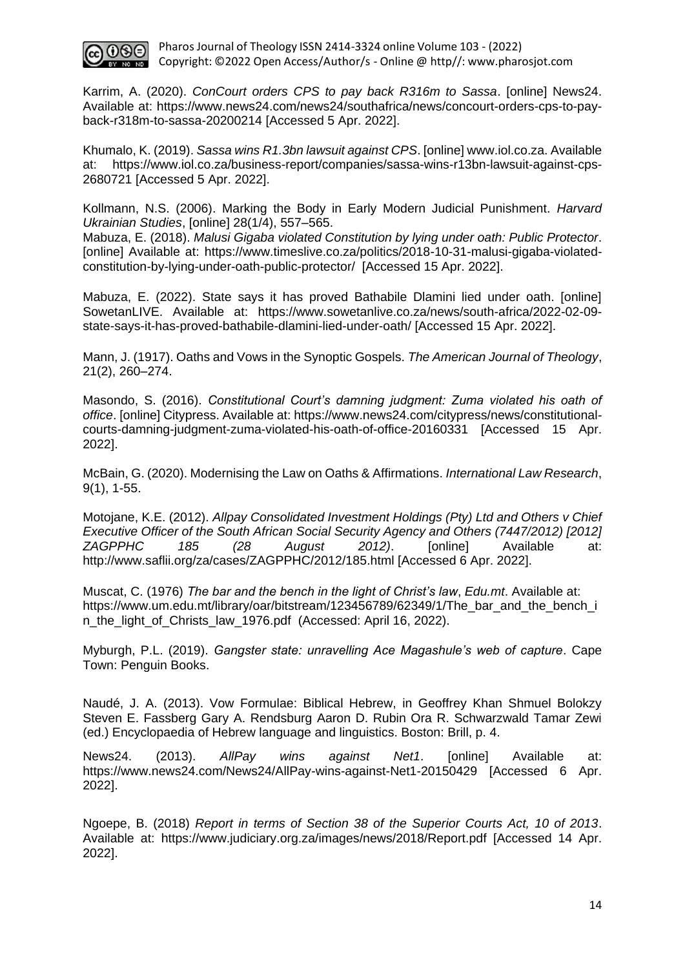

Karrim, A. (2020). *ConCourt orders CPS to pay back R316m to Sassa*. [online] News24. Available at: [https://www.news24.com/news24/southafrica/news/concourt-orders-cps-to-pay](https://www.news24.com/news24/southafrica/news/concourt-orders-cps-to-pay-back-r318m-to-sassa-20200214)[back-r318m-to-sassa-20200214](https://www.news24.com/news24/southafrica/news/concourt-orders-cps-to-pay-back-r318m-to-sassa-20200214) [Accessed 5 Apr. 2022].

Khumalo, K. (2019). *Sassa wins R1.3bn lawsuit against CPS*. [online] www.iol.co.za. Available at: [https://www.iol.co.za/business-report/companies/sassa-wins-r13bn-lawsuit-against-cps-](https://www.iol.co.za/business-report/companies/sassa-wins-r13bn-lawsuit-against-cps-2680721)[2680721](https://www.iol.co.za/business-report/companies/sassa-wins-r13bn-lawsuit-against-cps-2680721) [Accessed 5 Apr. 2022].

Kollmann, N.S. (2006). Marking the Body in Early Modern Judicial Punishment. *Harvard Ukrainian Studies*, [online] 28(1/4), 557–565.

Mabuza, E. (2018). *Malusi Gigaba violated Constitution by lying under oath: Public Protector*. [online] Available at: [https://www.timeslive.co.za/politics/2018-10-31-malusi-gigaba-violated](https://www.timeslive.co.za/politics/2018-10-31-malusi-gigaba-violated-constitution-by-lying-under-oath-public-protector/)[constitution-by-lying-under-oath-public-protector/](https://www.timeslive.co.za/politics/2018-10-31-malusi-gigaba-violated-constitution-by-lying-under-oath-public-protector/) [Accessed 15 Apr. 2022].

Mabuza, E. (2022). State says it has proved Bathabile Dlamini lied under oath. [online] SowetanLIVE. Available at: [https://www.sowetanlive.co.za/news/south-africa/2022-02-09](https://www.sowetanlive.co.za/news/south-africa/2022-02-09-state-says-it-has-proved-bathabile-dlamini-lied-under-oath/) [state-says-it-has-proved-bathabile-dlamini-lied-under-oath/](https://www.sowetanlive.co.za/news/south-africa/2022-02-09-state-says-it-has-proved-bathabile-dlamini-lied-under-oath/) [Accessed 15 Apr. 2022].

Mann, J. (1917). Oaths and Vows in the Synoptic Gospels. *The American Journal of Theology*, 21(2), 260–274.

Masondo, S. (2016). *Constitutional Court's damning judgment: Zuma violated his oath of office*. [online] Citypress. Available at: [https://www.news24.com/citypress/news/constitutional](https://www.news24.com/citypress/news/constitutional-courts-damning-judgment-zuma-violated-his-oath-of-office-20160331)[courts-damning-judgment-zuma-violated-his-oath-of-office-20160331](https://www.news24.com/citypress/news/constitutional-courts-damning-judgment-zuma-violated-his-oath-of-office-20160331) [Accessed 15 Apr. 2022].

McBain, G. (2020). Modernising the Law on Oaths & Affirmations. *International Law Research*, 9(1), 1-55.

Motojane, K.E. (2012). *Allpay Consolidated Investment Holdings (Pty) Ltd and Others v Chief Executive Officer of the South African Social Security Agency and Others (7447/2012) [2012] ZAGPPHC 185 (28 August 2012)*. [online] Available at: <http://www.saflii.org/za/cases/ZAGPPHC/2012/185.html> [Accessed 6 Apr. 2022].

Muscat, C. (1976) *The bar and the bench in the light of Christ's law*, *Edu.mt*. Available at: [https://www.um.edu.mt/library/oar/bitstream/123456789/62349/1/The\\_bar\\_and\\_the\\_bench\\_i](https://www.um.edu.mt/library/oar/bitstream/123456789/62349/1/The_bar_and_the_bench_in_the_light_of_Christs_law_1976.pdf) [n\\_the\\_light\\_of\\_Christs\\_law\\_1976.pdf](https://www.um.edu.mt/library/oar/bitstream/123456789/62349/1/The_bar_and_the_bench_in_the_light_of_Christs_law_1976.pdf) (Accessed: April 16, 2022).

Myburgh, P.L. (2019). *Gangster state: unravelling Ace Magashule's web of capture*. Cape Town: Penguin Books.

Naudé, J. A. (2013). Vow Formulae: Biblical Hebrew, in Geoffrey Khan Shmuel Bolokzy Steven E. Fassberg Gary A. Rendsburg Aaron D. Rubin Ora R. Schwarzwald Tamar Zewi (ed.) Encyclopaedia of Hebrew language and linguistics. Boston: Brill, p. 4.

News24. (2013). *AllPay wins against Net1*. [online] Available at: <https://www.news24.com/News24/AllPay-wins-against-Net1-20150429> [Accessed 6 Apr. 2022].

Ngoepe, B. (2018) *Report in terms of Section 38 of the Superior Courts Act, 10 of 2013*. Available at: <https://www.judiciary.org.za/images/news/2018/Report.pdf> [Accessed 14 Apr. 2022].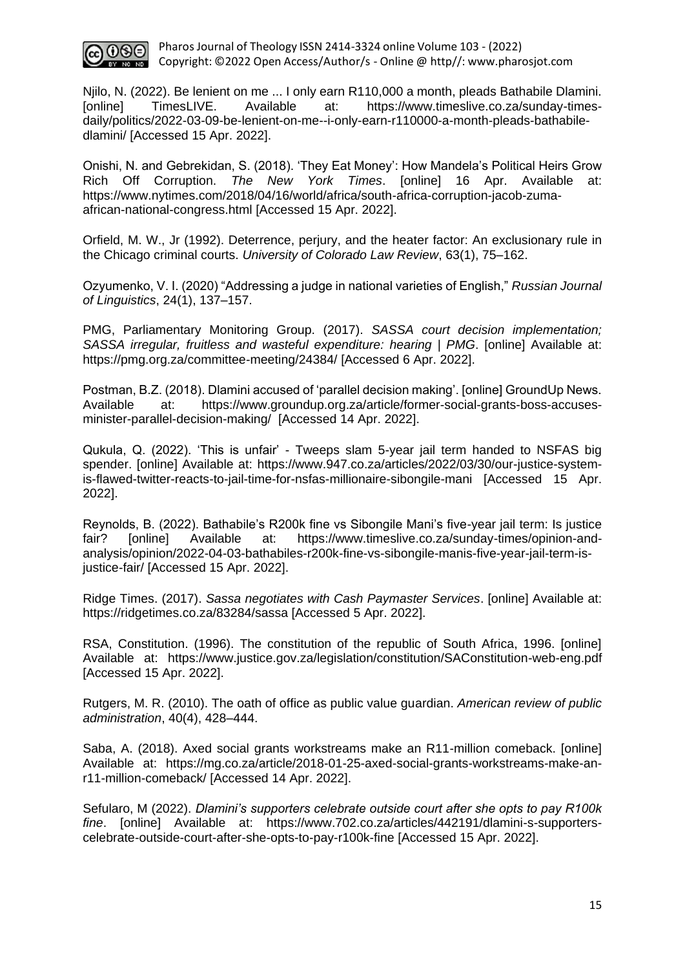

Njilo, N. (2022). Be lenient on me ... I only earn R110,000 a month, pleads Bathabile Dlamini. [online] TimesLIVE. Available at: [https://www.timeslive.co.za/sunday-times](https://www.timeslive.co.za/sunday-times-daily/politics/2022-03-09-be-lenient-on-me--i-only-earn-r110000-a-month-pleads-bathabile-dlamini/)[daily/politics/2022-03-09-be-lenient-on-me--i-only-earn-r110000-a-month-pleads-bathabile](https://www.timeslive.co.za/sunday-times-daily/politics/2022-03-09-be-lenient-on-me--i-only-earn-r110000-a-month-pleads-bathabile-dlamini/)[dlamini/](https://www.timeslive.co.za/sunday-times-daily/politics/2022-03-09-be-lenient-on-me--i-only-earn-r110000-a-month-pleads-bathabile-dlamini/) [Accessed 15 Apr. 2022].

Onishi, N. and Gebrekidan, S. (2018). 'They Eat Money': How Mandela's Political Heirs Grow Rich Off Corruption. *The New York Times*. [online] 16 Apr. Available at: [https://www.nytimes.com/2018/04/16/world/africa/south-africa-corruption-jacob-zuma](https://www.nytimes.com/2018/04/16/world/africa/south-africa-corruption-jacob-zuma-african-national-congress.html)[african-national-congress.html](https://www.nytimes.com/2018/04/16/world/africa/south-africa-corruption-jacob-zuma-african-national-congress.html) [Accessed 15 Apr. 2022].

Orfield, M. W., Jr (1992). Deterrence, perjury, and the heater factor: An exclusionary rule in the Chicago criminal courts. *University of Colorado Law Review*, 63(1), 75–162.

Ozyumenko, V. I. (2020) "Addressing a judge in national varieties of English," *Russian Journal of Linguistics*, 24(1), 137–157.

PMG, Parliamentary Monitoring Group. (2017). *SASSA court decision implementation; SASSA irregular, fruitless and wasteful expenditure: hearing | PMG*. [online] Available at: <https://pmg.org.za/committee-meeting/24384/> [Accessed 6 Apr. 2022].

Postman, B.Z. (2018). Dlamini accused of 'parallel decision making'. [online] GroundUp News. Available at: [https://www.groundup.org.za/article/former-social-grants-boss-accuses](https://www.groundup.org.za/article/former-social-grants-boss-accuses-minister-parallel-decision-making/)[minister-parallel-decision-making/](https://www.groundup.org.za/article/former-social-grants-boss-accuses-minister-parallel-decision-making/) [Accessed 14 Apr. 2022].

Qukula, Q. (2022). 'This is unfair' - Tweeps slam 5-year jail term handed to NSFAS big spender. [online] Available at: [https://www.947.co.za/articles/2022/03/30/our-justice-system](https://www.947.co.za/articles/2022/03/30/our-justice-system-is-flawed-twitter-reacts-to-jail-time-for-nsfas-millionaire-sibongile-mani)[is-flawed-twitter-reacts-to-jail-time-for-nsfas-millionaire-sibongile-mani](https://www.947.co.za/articles/2022/03/30/our-justice-system-is-flawed-twitter-reacts-to-jail-time-for-nsfas-millionaire-sibongile-mani) [Accessed 15 Apr. 2022].

Reynolds, B. (2022). Bathabile's R200k fine vs Sibongile Mani's five-year jail term: Is justice fair? [online] Available at: [https://www.timeslive.co.za/sunday-times/opinion-and](https://www.timeslive.co.za/sunday-times/opinion-and-analysis/opinion/2022-04-03-bathabiles-r200k-fine-vs-sibongile-manis-five-year-jail-term-is-justice-fair/)[analysis/opinion/2022-04-03-bathabiles-r200k-fine-vs-sibongile-manis-five-year-jail-term-is](https://www.timeslive.co.za/sunday-times/opinion-and-analysis/opinion/2022-04-03-bathabiles-r200k-fine-vs-sibongile-manis-five-year-jail-term-is-justice-fair/)[justice-fair/](https://www.timeslive.co.za/sunday-times/opinion-and-analysis/opinion/2022-04-03-bathabiles-r200k-fine-vs-sibongile-manis-five-year-jail-term-is-justice-fair/) [Accessed 15 Apr. 2022].

Ridge Times. (2017). *Sassa negotiates with Cash Paymaster Services*. [online] Available at: https://ridgetimes.co.za/83284/sassa [Accessed 5 Apr. 2022].

RSA, Constitution. (1996). The constitution of the republic of South Africa, 1996. [online] Available at: <https://www.justice.gov.za/legislation/constitution/SAConstitution-web-eng.pdf> [Accessed 15 Apr. 2022].

Rutgers, M. R. (2010). The oath of office as public value guardian. *American review of public administration*, 40(4), 428–444.

Saba, A. (2018). Axed social grants workstreams make an R11-million comeback. [online] Available at: [https://mg.co.za/article/2018-01-25-axed-social-grants-workstreams-make-an](https://mg.co.za/article/2018-01-25-axed-social-grants-workstreams-make-an-r11-million-comeback/)[r11-million-comeback/](https://mg.co.za/article/2018-01-25-axed-social-grants-workstreams-make-an-r11-million-comeback/) [Accessed 14 Apr. 2022].

Sefularo, M (2022). *Dlamini's supporters celebrate outside court after she opts to pay R100k fine*. [online] Available at: [https://www.702.co.za/articles/442191/dlamini-s-supporters](https://www.702.co.za/articles/442191/dlamini-s-supporters-celebrate-outside-court-after-she-opts-to-pay-r100k-fine)[celebrate-outside-court-after-she-opts-to-pay-r100k-fine](https://www.702.co.za/articles/442191/dlamini-s-supporters-celebrate-outside-court-after-she-opts-to-pay-r100k-fine) [Accessed 15 Apr. 2022].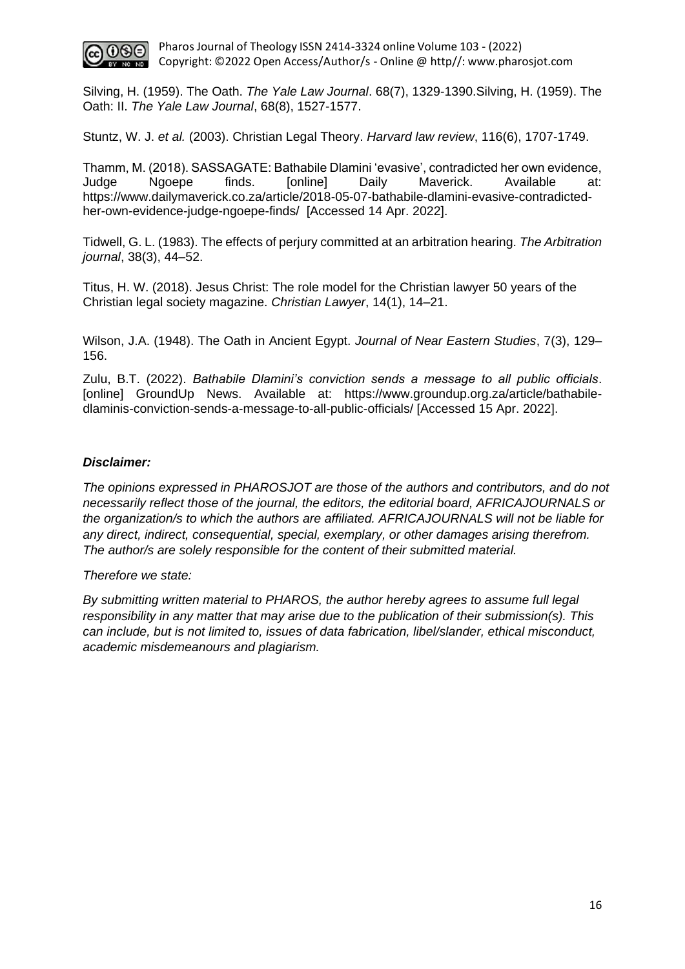

Silving, H. (1959). The Oath. *The Yale Law Journal*. 68(7), 1329-1390.Silving, H. (1959). The Oath: II. *The Yale Law Journal*, 68(8), 1527-1577.

Stuntz, W. J. *et al.* (2003). Christian Legal Theory. *Harvard law review*, 116(6), 1707-1749.

Thamm, M. (2018). SASSAGATE: Bathabile Dlamini 'evasive', contradicted her own evidence, Judge Ngoepe finds. [online] Daily Maverick. Available at: [https://www.dailymaverick.co.za/article/2018-05-07-bathabile-dlamini-evasive-contradicted](https://www.dailymaverick.co.za/article/2018-05-07-bathabile-dlamini-evasive-contradicted-her-own-evidence-judge-ngoepe-finds/)[her-own-evidence-judge-ngoepe-finds/](https://www.dailymaverick.co.za/article/2018-05-07-bathabile-dlamini-evasive-contradicted-her-own-evidence-judge-ngoepe-finds/) [Accessed 14 Apr. 2022].

Tidwell, G. L. (1983). The effects of perjury committed at an arbitration hearing. *The Arbitration journal*, 38(3), 44–52.

Titus, H. W. (2018). Jesus Christ: The role model for the Christian lawyer 50 years of the Christian legal society magazine. *Christian Lawyer*, 14(1), 14–21.

Wilson, J.A. (1948). The Oath in Ancient Egypt. *Journal of Near Eastern Studies*, 7(3), 129– 156.

Zulu, B.T. (2022). *Bathabile Dlamini's conviction sends a message to all public officials*. [online] GroundUp News. Available at: [https://www.groundup.org.za/article/bathabile](https://www.groundup.org.za/article/bathabile-dlaminis-conviction-sends-a-message-to-all-public-officials/)[dlaminis-conviction-sends-a-message-to-all-public-officials/](https://www.groundup.org.za/article/bathabile-dlaminis-conviction-sends-a-message-to-all-public-officials/) [Accessed 15 Apr. 2022].

#### *Disclaimer:*

*The opinions expressed in PHAROSJOT are those of the authors and contributors, and do not necessarily reflect those of the journal, the editors, the editorial board, AFRICAJOURNALS or the organization/s to which the authors are affiliated. AFRICAJOURNALS will not be liable for any direct, indirect, consequential, special, exemplary, or other damages arising therefrom. The author/s are solely responsible for the content of their submitted material.*

*Therefore we state:*

*By submitting written material to PHAROS, the author hereby agrees to assume full legal responsibility in any matter that may arise due to the publication of their submission(s). This can include, but is not limited to, issues of data fabrication, libel/slander, ethical misconduct, academic misdemeanours and plagiarism.*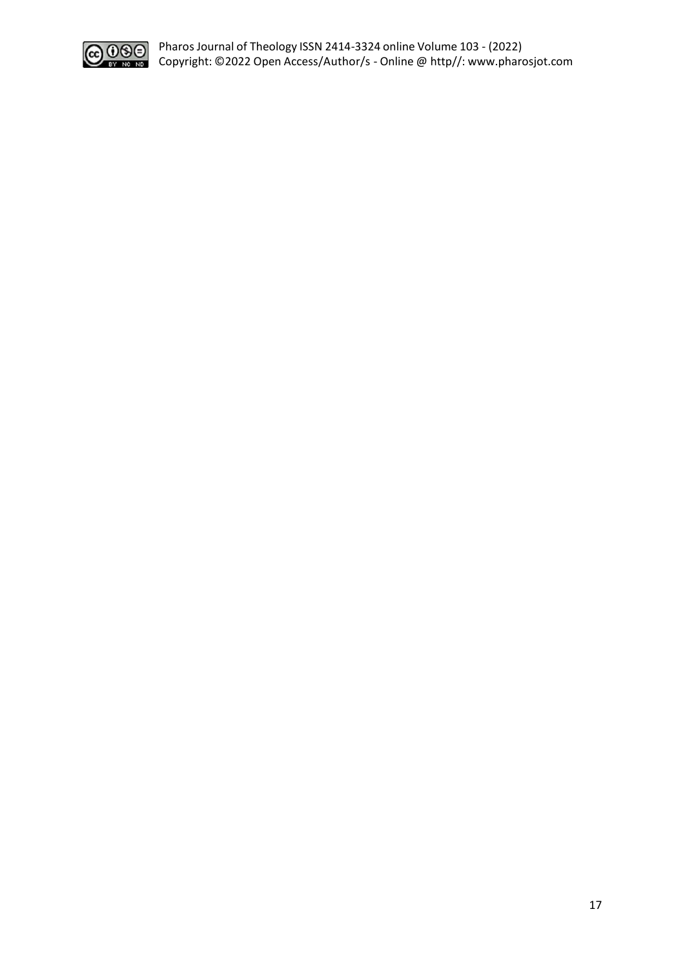